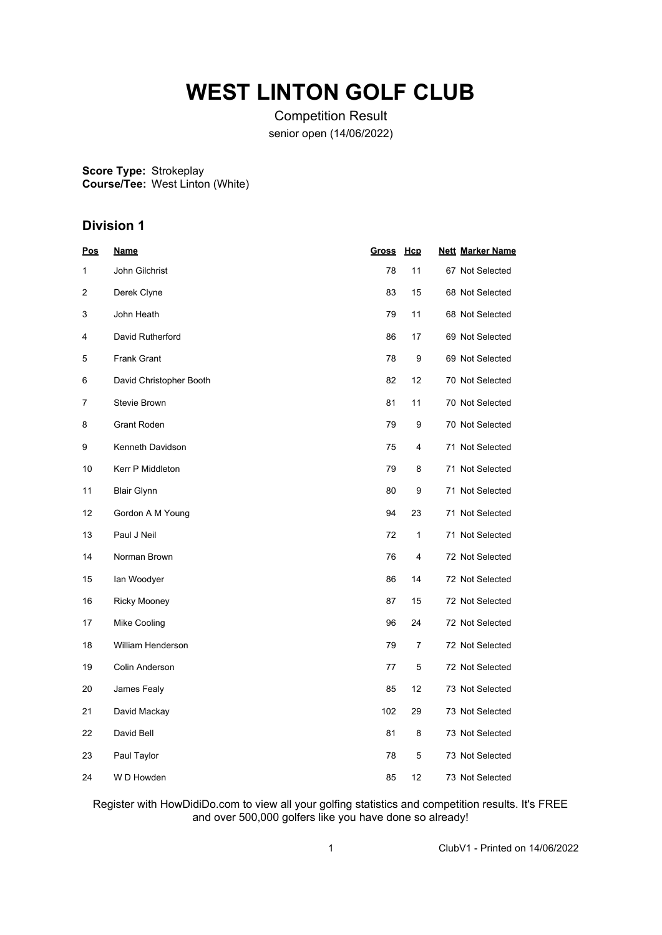# **WEST LINTON GOLF CLUB**

Competition Result senior open (14/06/2022)

**Score Type: Course/Tee:** Strokeplay West Linton (White)

## **Division 1**

| <u>Pos</u> | <u>Name</u>             | <u>Gross</u> | <u>Hcp</u>     | <b>Nett Marker Name</b> |
|------------|-------------------------|--------------|----------------|-------------------------|
| 1          | John Gilchrist          | 78           | 11             | 67 Not Selected         |
| 2          | Derek Clyne             | 83           | 15             | 68 Not Selected         |
| 3          | John Heath              | 79           | 11             | 68 Not Selected         |
| 4          | David Rutherford        | 86           | 17             | 69 Not Selected         |
| 5          | <b>Frank Grant</b>      | 78           | 9              | 69 Not Selected         |
| 6          | David Christopher Booth | 82           | 12             | 70 Not Selected         |
| 7          | Stevie Brown            | 81           | 11             | 70 Not Selected         |
| 8          | <b>Grant Roden</b>      | 79           | 9              | 70 Not Selected         |
| 9          | Kenneth Davidson        | 75           | 4              | 71 Not Selected         |
| 10         | <b>Kerr P Middleton</b> | 79           | 8              | 71 Not Selected         |
| 11         | <b>Blair Glynn</b>      | 80           | 9              | 71 Not Selected         |
| 12         | Gordon A M Young        | 94           | 23             | 71 Not Selected         |
| 13         | Paul J Neil             | 72           | 1              | 71 Not Selected         |
| 14         | Norman Brown            | 76           | 4              | 72 Not Selected         |
| 15         | lan Woodyer             | 86           | 14             | 72 Not Selected         |
| 16         | Ricky Mooney            | 87           | 15             | 72 Not Selected         |
| 17         | Mike Cooling            | 96           | 24             | 72 Not Selected         |
| 18         | William Henderson       | 79           | $\overline{7}$ | 72 Not Selected         |
| 19         | Colin Anderson          | 77           | 5              | 72 Not Selected         |
| 20         | James Fealy             | 85           | 12             | 73 Not Selected         |
| 21         | David Mackay            | 102          | 29             | 73 Not Selected         |
| 22         | David Bell              | 81           | 8              | 73 Not Selected         |
| 23         | Paul Taylor             | 78           | 5              | 73 Not Selected         |
| 24         | W D Howden              | 85           | 12             | 73 Not Selected         |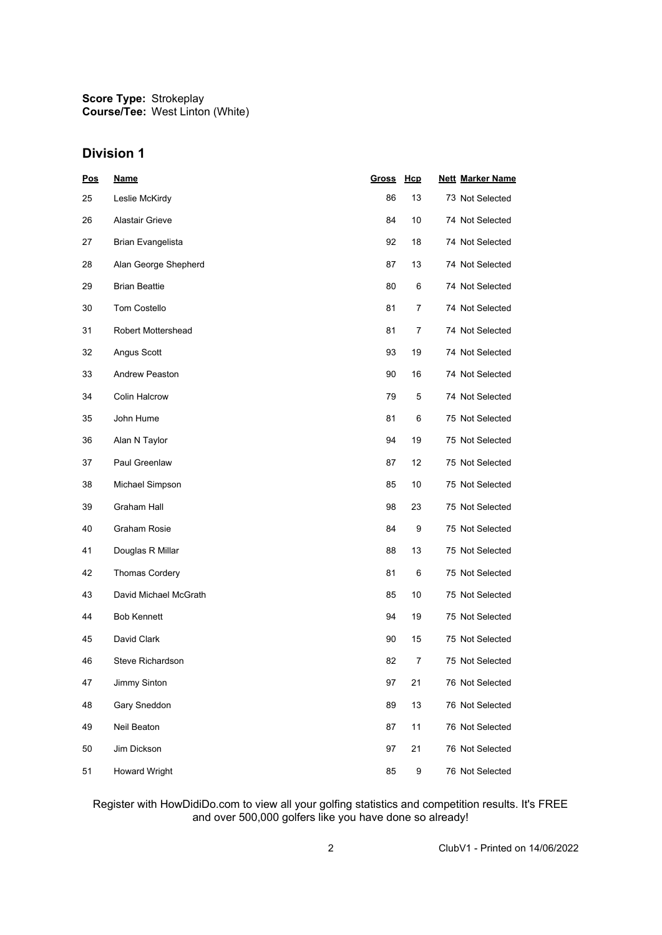## **Division 1**

| <b>Pos</b> | <b>Name</b>               | <b>Gross</b> | Hcp | <b>Nett Marker Name</b> |
|------------|---------------------------|--------------|-----|-------------------------|
| 25         | Leslie McKirdy            | 86           | 13  | 73 Not Selected         |
| 26         | Alastair Grieve           | 84           | 10  | 74 Not Selected         |
| 27         | Brian Evangelista         | 92           | 18  | 74 Not Selected         |
| 28         | Alan George Shepherd      | 87           | 13  | 74 Not Selected         |
| 29         | <b>Brian Beattie</b>      | 80           | 6   | 74 Not Selected         |
| 30         | <b>Tom Costello</b>       | 81           | 7   | 74 Not Selected         |
| 31         | <b>Robert Mottershead</b> | 81           | 7   | 74 Not Selected         |
| 32         | Angus Scott               | 93           | 19  | 74 Not Selected         |
| 33         | <b>Andrew Peaston</b>     | 90           | 16  | 74 Not Selected         |
| 34         | <b>Colin Halcrow</b>      | 79           | 5   | 74 Not Selected         |
| 35         | John Hume                 | 81           | 6   | 75 Not Selected         |
| 36         | Alan N Taylor             | 94           | 19  | 75 Not Selected         |
| 37         | Paul Greenlaw             | 87           | 12  | 75 Not Selected         |
| 38         | Michael Simpson           | 85           | 10  | 75 Not Selected         |
| 39         | Graham Hall               | 98           | 23  | 75 Not Selected         |
| 40         | Graham Rosie              | 84           | 9   | 75 Not Selected         |
| 41         | Douglas R Millar          | 88           | 13  | 75 Not Selected         |
| 42         | <b>Thomas Cordery</b>     | 81           | 6   | 75 Not Selected         |
| 43         | David Michael McGrath     | 85           | 10  | 75 Not Selected         |
| 44         | <b>Bob Kennett</b>        | 94           | 19  | 75 Not Selected         |
| 45         | David Clark               | 90           | 15  | 75 Not Selected         |
| 46         | Steve Richardson          | 82           | 7   | 75 Not Selected         |
| 47         | Jimmy Sinton              | 97           | 21  | 76 Not Selected         |
| 48         | Gary Sneddon              | 89           | 13  | 76 Not Selected         |
| 49         | Neil Beaton               | 87           | 11  | 76 Not Selected         |
| 50         | Jim Dickson               | 97           | 21  | 76 Not Selected         |
| 51         | <b>Howard Wright</b>      | 85           | 9   | 76 Not Selected         |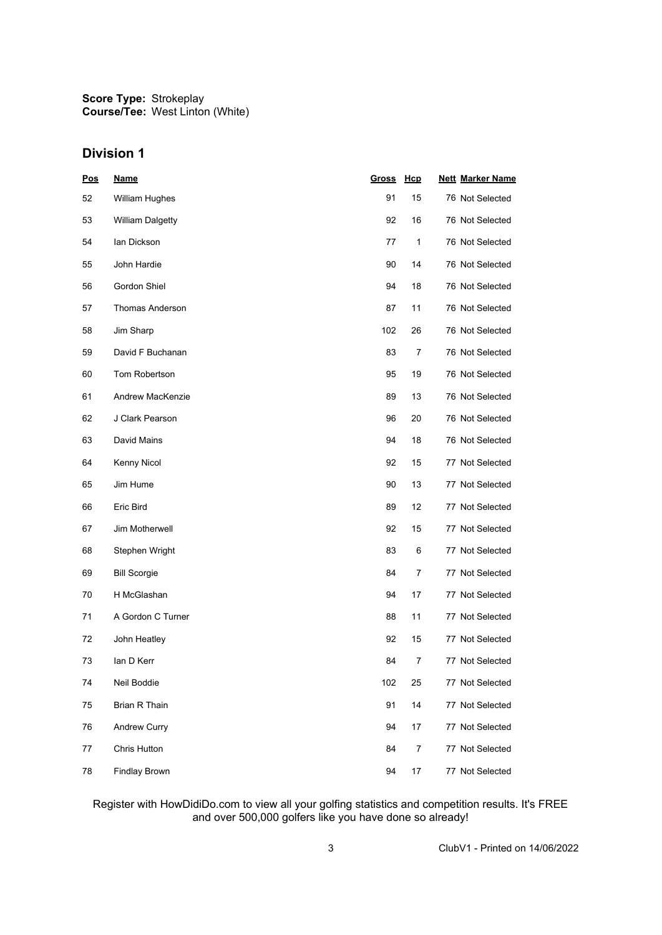## **Division 1**

| <u>Pos</u> | <b>Name</b>             | <u>Gross</u> | <u>Нср</u>     | <b>Nett Marker Name</b> |
|------------|-------------------------|--------------|----------------|-------------------------|
| 52         | William Hughes          | 91           | 15             | 76 Not Selected         |
| 53         | <b>William Dalgetty</b> | 92           | 16             | 76 Not Selected         |
| 54         | lan Dickson             | 77           | 1              | 76 Not Selected         |
| 55         | John Hardie             | 90           | 14             | 76 Not Selected         |
| 56         | Gordon Shiel            | 94           | 18             | 76 Not Selected         |
| 57         | <b>Thomas Anderson</b>  | 87           | 11             | 76 Not Selected         |
| 58         | Jim Sharp               | 102          | 26             | 76 Not Selected         |
| 59         | David F Buchanan        | 83           | 7              | 76 Not Selected         |
| 60         | Tom Robertson           | 95           | 19             | 76 Not Selected         |
| 61         | Andrew MacKenzie        | 89           | 13             | 76 Not Selected         |
| 62         | J Clark Pearson         | 96           | 20             | 76 Not Selected         |
| 63         | David Mains             | 94           | 18             | 76 Not Selected         |
| 64         | Kenny Nicol             | 92           | 15             | 77 Not Selected         |
| 65         | Jim Hume                | 90           | 13             | 77 Not Selected         |
| 66         | Eric Bird               | 89           | 12             | 77 Not Selected         |
| 67         | Jim Motherwell          | 92           | 15             | 77 Not Selected         |
| 68         | Stephen Wright          | 83           | 6              | 77 Not Selected         |
| 69         | <b>Bill Scorgie</b>     | 84           | 7              | 77 Not Selected         |
| 70         | H McGlashan             | 94           | 17             | 77 Not Selected         |
| 71         | A Gordon C Turner       | 88           | 11             | 77 Not Selected         |
| 72         | John Heatley            | 92           | 15             | 77 Not Selected         |
| 73         | lan D Kerr              | 84           | 7              | 77 Not Selected         |
| 74         | Neil Boddie             | 102          | 25             | 77 Not Selected         |
| 75         | Brian R Thain           | 91           | 14             | 77 Not Selected         |
| 76         | <b>Andrew Curry</b>     | 94           | 17             | 77 Not Selected         |
| 77         | Chris Hutton            | 84           | $\overline{7}$ | 77 Not Selected         |
| 78         | <b>Findlay Brown</b>    | 94           | 17             | 77 Not Selected         |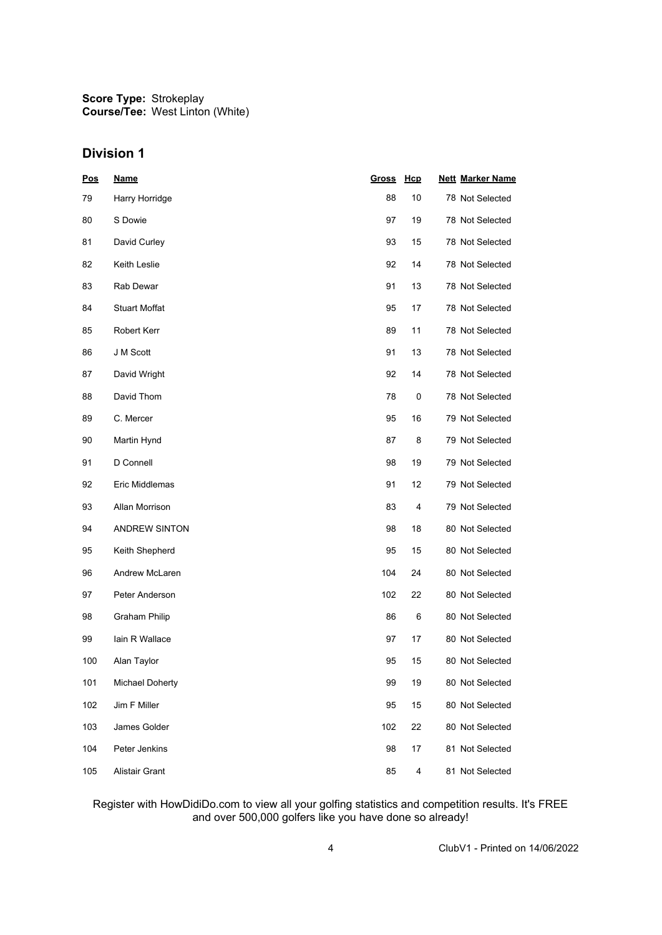## **Division 1**

| <u>Pos</u> | <b>Name</b>            | Gross | <u>Hcp</u> | <b>Nett Marker Name</b> |
|------------|------------------------|-------|------------|-------------------------|
| 79         | Harry Horridge         | 88    | 10         | 78 Not Selected         |
| 80         | S Dowie                | 97    | 19         | 78 Not Selected         |
| 81         | David Curley           | 93    | 15         | 78 Not Selected         |
| 82         | Keith Leslie           | 92    | 14         | 78 Not Selected         |
| 83         | Rab Dewar              | 91    | 13         | 78 Not Selected         |
| 84         | <b>Stuart Moffat</b>   | 95    | 17         | 78 Not Selected         |
| 85         | Robert Kerr            | 89    | 11         | 78 Not Selected         |
| 86         | J M Scott              | 91    | 13         | 78 Not Selected         |
| 87         | David Wright           | 92    | 14         | 78 Not Selected         |
| 88         | David Thom             | 78    | 0          | 78 Not Selected         |
| 89         | C. Mercer              | 95    | 16         | 79 Not Selected         |
| 90         | Martin Hynd            | 87    | 8          | 79 Not Selected         |
| 91         | D Connell              | 98    | 19         | 79 Not Selected         |
| 92         | Eric Middlemas         | 91    | 12         | 79 Not Selected         |
| 93         | Allan Morrison         | 83    | 4          | 79 Not Selected         |
| 94         | <b>ANDREW SINTON</b>   | 98    | 18         | 80 Not Selected         |
| 95         | Keith Shepherd         | 95    | 15         | 80 Not Selected         |
| 96         | Andrew McLaren         | 104   | 24         | 80 Not Selected         |
| 97         | Peter Anderson         | 102   | 22         | 80 Not Selected         |
| 98         | <b>Graham Philip</b>   | 86    | 6          | 80 Not Selected         |
| 99         | lain R Wallace         | 97    | 17         | 80 Not Selected         |
| 100        | Alan Taylor            | 95    | 15         | 80 Not Selected         |
| 101        | <b>Michael Doherty</b> | 99    | 19         | 80 Not Selected         |
| 102        | Jim F Miller           | 95    | 15         | 80 Not Selected         |
| 103        | James Golder           | 102   | 22         | 80 Not Selected         |
| 104        | Peter Jenkins          | 98    | 17         | 81 Not Selected         |
| 105        | Alistair Grant         | 85    | 4          | 81 Not Selected         |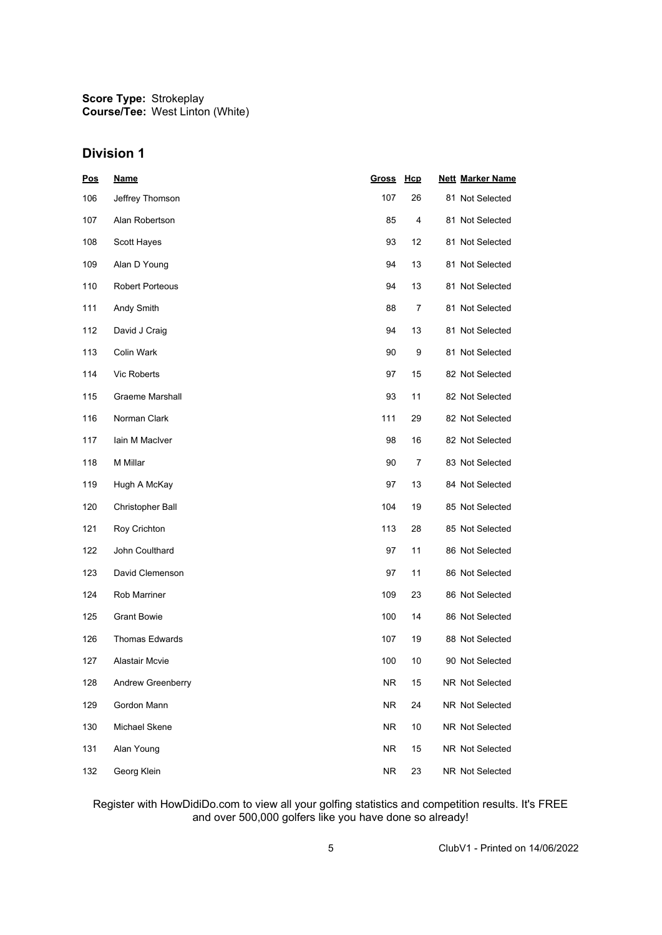## **Division 1**

| <u>Pos</u> | <b>Name</b>            | Gross Hcp |      | <b>Nett Marker Name</b> |
|------------|------------------------|-----------|------|-------------------------|
| 106        | Jeffrey Thomson        | 107       | 26   | 81 Not Selected         |
| 107        | Alan Robertson         | 85        | 4    | 81 Not Selected         |
| 108        | Scott Hayes            | 93        | 12   | 81 Not Selected         |
| 109        | Alan D Young           | 94        | 13   | 81 Not Selected         |
| 110        | <b>Robert Porteous</b> | 94        | 13   | 81 Not Selected         |
| 111        | Andy Smith             | 88        | 7    | 81 Not Selected         |
| 112        | David J Craig          | 94        | 13   | 81 Not Selected         |
| 113        | Colin Wark             | 90        | 9    | 81 Not Selected         |
| 114        | Vic Roberts            | 97        | 15   | 82 Not Selected         |
| 115        | <b>Graeme Marshall</b> | 93        | 11   | 82 Not Selected         |
| 116        | Norman Clark           | 111       | 29   | 82 Not Selected         |
| 117        | lain M MacIver         | 98        | 16   | 82 Not Selected         |
| 118        | M Millar               | 90        | 7    | 83 Not Selected         |
| 119        | Hugh A McKay           | 97        | 13   | 84 Not Selected         |
| 120        | Christopher Ball       | 104       | 19   | 85 Not Selected         |
| 121        | Roy Crichton           | 113       | 28   | 85 Not Selected         |
| 122        | John Coulthard         | 97        | 11   | 86 Not Selected         |
| 123        | David Clemenson        | 97        | 11   | 86 Not Selected         |
| 124        | Rob Marriner           | 109       | 23   | 86 Not Selected         |
| 125        | <b>Grant Bowie</b>     | 100       | 14   | 86 Not Selected         |
| 126        | Thomas Edwards         | 107       | 19   | 88 Not Selected         |
| 127        | <b>Alastair Mcvie</b>  | 100       | 10   | 90 Not Selected         |
| 128        | Andrew Greenberry      | <b>NR</b> | 15   | NR Not Selected         |
| 129        | Gordon Mann            | NR.       | 24   | NR Not Selected         |
| 130        | Michael Skene          | <b>NR</b> | $10$ | NR Not Selected         |
| 131        | Alan Young             | <b>NR</b> | 15   | NR Not Selected         |
| 132        | Georg Klein            | <b>NR</b> | 23   | NR Not Selected         |